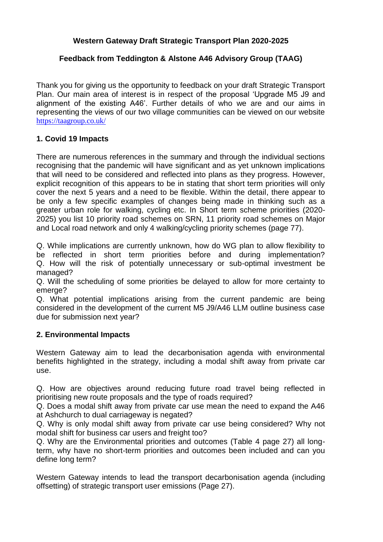# **Western Gateway Draft Strategic Transport Plan 2020-2025**

## **Feedback from Teddington & Alstone A46 Advisory Group (TAAG)**

Thank you for giving us the opportunity to feedback on your draft Strategic Transport Plan. Our main area of interest is in respect of the proposal 'Upgrade M5 J9 and alignment of the existing A46'. Further details of who we are and our aims in representing the views of our two village communities can be viewed on our website <https://taagroup.co.uk/>

## **1. Covid 19 Impacts**

There are numerous references in the summary and through the individual sections recognising that the pandemic will have significant and as yet unknown implications that will need to be considered and reflected into plans as they progress. However, explicit recognition of this appears to be in stating that short term priorities will only cover the next 5 years and a need to be flexible. Within the detail, there appear to be only a few specific examples of changes being made in thinking such as a greater urban role for walking, cycling etc. In Short term scheme priorities (2020- 2025) you list 10 priority road schemes on SRN, 11 priority road schemes on Major and Local road network and only 4 walking/cycling priority schemes (page 77).

Q. While implications are currently unknown, how do WG plan to allow flexibility to be reflected in short term priorities before and during implementation? Q. How will the risk of potentially unnecessary or sub-optimal investment be managed?

Q. Will the scheduling of some priorities be delayed to allow for more certainty to emerge?

Q. What potential implications arising from the current pandemic are being considered in the development of the current M5 J9/A46 LLM outline business case due for submission next year?

## **2. Environmental Impacts**

Western Gateway aim to lead the decarbonisation agenda with environmental benefits highlighted in the strategy, including a modal shift away from private car use.

Q. How are objectives around reducing future road travel being reflected in prioritising new route proposals and the type of roads required?

Q. Does a modal shift away from private car use mean the need to expand the A46 at Ashchurch to dual carriageway is negated?

Q. Why is only modal shift away from private car use being considered? Why not modal shift for business car users and freight too?

Q. Why are the Environmental priorities and outcomes (Table 4 page 27) all longterm, why have no short-term priorities and outcomes been included and can you define long term?

Western Gateway intends to lead the transport decarbonisation agenda (including offsetting) of strategic transport user emissions (Page 27).